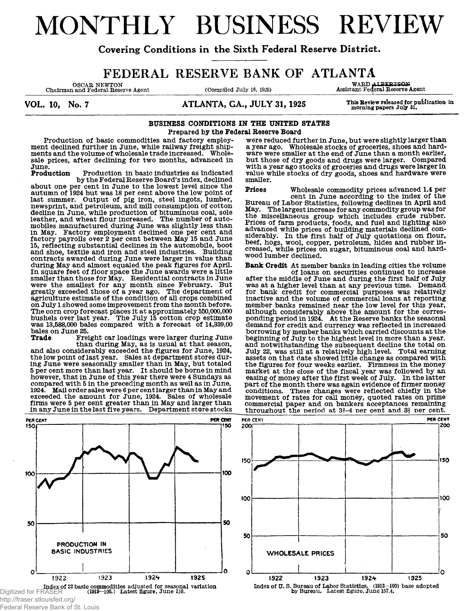# MONTHLY BUSINESS REVIEW

Covering Conditions in the Sixth Federal Reserve District.

# **FEDERAL RESERVE BANK OF ATLANTA**<br>
COMPUTED ARE COMPUTED ASSESSED ASSESSED A SURVARD ALBERTSON ASSESSED.

OSCAR NEWTON WARD ALBERTSON<br>Chairman and Federal Reserve Agent (Compiled July 16, 1925) Assistant Federal Reserve Agent

VOL. 10, No. 7 **ATLANTA, GA., JULY 31, 1925** This Review released for publication in

#### **BUSINESS CONDITIONS IN THE UNITED STATES Prepared by the Federal Reserve Board**

**Production of basic commodities and factory employment declined further in June, while railway freight shipments and the volume of wholesale trade increased. Wholesale prices, after declining for two months, advanced in June.**

Production in basic industries as indicated **by the Federal Reserve Board's index, declined about one per cent in June to the lowest level since the autumn of 1924 but was 18 per cent above the low point of last summer. Output of pig iron, steel ingots, lumber, newsprint, and petroleum, and mill consumption of cotton decline in June, while production of bituminous coal, sole leather, and wheat flour increased. The number of automobiles manufactured during June was slightly less than in May. Factory employment declined one per cent and factory payrolls over 2 per cent between May 15 and June 15, reflecting substantial declines in the automobile, boot and shoe, textile and iron and steel industries. Building contracts awarded during June were larger in value than during May and almost equaled the peak figures for April. In square feet of floor space the June awards were a little smaller than those for May. Residential contracts in June were the smallest for any month since February. But greatly exceeded those of a year ago. The department of agriculture estimate of the condition of all crops combined on July 1 showed some improvement from the month before. The corn crop forecast places it at approximately 550,000,000 bushels over last year. The July 15 cotton crop estimate was 13,588,000 bales compared with a forecast of 14,339,00**

**bales on June 25.** Freight car loadings were larger during June **than during May, as is usual at that season,**

**and also considerably exceeded the figures for June, 1924, the low point of last year. Sales at department stores during June were seasonally smaller than in May, but totaled 5 per cent more than last year. It should be borne in mind however, that in June of this year there were 4 Sundays as compared with 5 in the preceding month as well as in June, 1924. Mail order sales were 6 per cent larger than in May and exceeded the amount for June, 1924. Sales of wholesale firms were 5 per cent greater than in May and larger than in any June in the last five years. Department store stocks**



Federal Reserve Bank of St. Louis

**were reduced further in June, but were slightly larger than a year ago. Wholesale stocks of groceries, shoes and hardware were smaller at the end of June than a month earlier, but those of dry goods and drugs were larger. Compared with a year ago stocks of groceries and drugs were larger in value while stocks of dry goods, shoes and hardware were smaller.**

**Prices Wholesale commodity prices advanced 1.4 per cent in June according to the index of the Bureau of Labor Statistics, following declines in April and May. The largest increase for any commodity group was for the miscellaneous group which includes crude rubber. Prices of farm products, foods, and fuel and lighting also advanced while prices of building materials declined considerably. In the first half of July quotations on flour, beef, hogs, wool, copper, petroleum, hides and rubber increased, while prices on sugar, bituminous coal and hardwood lumber declined.**

**Bank Credit At member banks in leading cities the volume of loans on securities continued to increase after the middle of June and during the first half of July was at a higher level than at any previous time. Demand for bank credit for commercial purposes was relatively inactive and the volume of commercial loans at reporting member banks remained near the low level for this year, although considerably above the amount for the corresponding period in 1924. At the Reserve banks the seasonal demand for credit and currency was reflected in increased borrowing by member banks which carried discounts at the beginning of July to the highest level in more than a year, and notwithstanding the subsequent decline the total on July 22, was still at a relatively high level. Total earning assets on that date showed little change as compared with the figures for four weeks earlier. Firmness in the money market at the close of the fiscal year was followed by an easing of money after the first week of July. In the latter part of the month there was again evidence of firmer money conditions. These changes were reflected chiefly in the movement of rates for call money, quoted rates on prime**

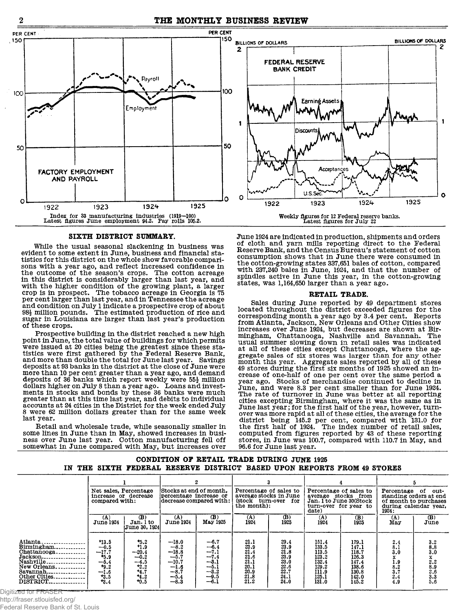

 $\overline{2}$ 

#### SIXTH DISTRICT SUMMARY.

While the usual seasonal slackening in business was evident to some extent in June, business and financial sta-<br>tistics for this district on the whole show favorable comparisons with a year ago, and reflect increased confidence in the outcome of the season's crops. The cotton acreage in this district is considerably larger than last year, and with the higher condition of the growing plant, a larger<br>crop is in prospect. The tobacco acreage in Georgia is 75 per cent larger than last year, and in Tennessee the acreage and condition on July 1 indicate a prospective crop of about 98<sup>1</sup>/<sub>2</sub> million pounds. The estimated production of rice and sugar in Louisiana are larger than last year's production of these crops.

Prospective building in the district reached a new high point in June, the total value of buildings for which permits were issued at 20 cities being the greatest since these sta-<br>tistics were first gathered by the Federal Reserve Bank, and more than double the total for June last year. Savings deposits at 93 banks in the district at the close of June were more than 10 per cent greater than a year ago, and demand deposits of 36 banks which report weekly were 55<sup>1</sup> million<br>dollars higher on July 8 than a year ago. Loans and investments in stocks and bonds by these 36 banks were much greater than at this time last year, and debits to individual accounts at 24 cities in the District for the week ended July 8 were 62 million dollars greater than for the same week last vear.

Retail and wholesale trade, while seasonally smaller in some lines in June than in May, showed increases in business over June last year. Cotton manufacturing fell off somewhat in June compared with May, but increases over



June 1924 are indicated in production, shipments and orders of cloth and yarn mills reporting direct to the Federal Reserve Bank, and the Census Bureau's statement of cotton consumption shows that in June there were consumed in the cotton-growing states 337,651 bales of cotton, compared with 237,240 bales in June, 1924, and that the number of spindles active in June this year, in the cotton-growing states, was 1,164,650 larger than a year ago.

#### RETAIL TRADE.

Sales during June reported by 49 department stores located throughout the district exceeded figures for the corresponding month a year ago by 3.4 per cent. Reports<br>from Atlanta, Jackson, New Orleans and Other Cities show<br>increases over June 1924, but decreases are shown at Birmingham, Chattanooga, Nashville and Savannah. The usual summer slowing down in retail sales was indicated at all of these cities except Chattanooga, where the aggregate sales of six stores was larger than for any other month this year. Aggregate sales reported by all of these<br>49 stores during the first six months of 1925 showed an increase of one-half of one per cent over the same period a year ago. Stocks of merchandise continued to decline in June, and were 8.3 per cent smaller than for June 1924.<br>The rate of turnover in June was better at all reporting cities excepting Birmingham, where it was the same as in June last year; for the first half of the year, however, turnover was more rapid at all of these cities, the average for the district being 145.2 per cent, compared with 131.0 for<br>the first half of 1924. The index number of retail sales, computed from figures reported by 43 of these reporting stores, in June was 100.7, compared with 110.7 in May, and 96.6 for June last year.

#### CONDITION OF RETAIL TRADE DURING JUNE 1925 IN THE SIXTH FEDERAL RESERVE DISTRICT BASED UPON REPORTS FROM 49 STORES

|                                                                                                                                                                 | Net sales, Percentage<br>increase or decrease<br>compared with:                      |                                                                                   | Stocks at end of month.<br>percentage increase or                                         | $\mathbf{2}$<br>decrease compared with:                                                  | Percentage of sales to<br>average stocks in June<br>(stock turn-over for<br>the month):                   |                                                                                                                  | Percentage of sales to<br>average stocks from<br>Jan. 1 to June 30(Stock      | turn-over for year to                                                         | Percentage of<br>standing orders at end                                                  | out-<br>of month to purchases<br>during calendar year.                                   |
|-----------------------------------------------------------------------------------------------------------------------------------------------------------------|--------------------------------------------------------------------------------------|-----------------------------------------------------------------------------------|-------------------------------------------------------------------------------------------|------------------------------------------------------------------------------------------|-----------------------------------------------------------------------------------------------------------|------------------------------------------------------------------------------------------------------------------|-------------------------------------------------------------------------------|-------------------------------------------------------------------------------|------------------------------------------------------------------------------------------|------------------------------------------------------------------------------------------|
|                                                                                                                                                                 | (A)<br>June 1924                                                                     | (B)<br>Jan. 1 to<br> June 30, 1924                                                | (A)<br><b>June 1924</b>                                                                   | (B)<br>May 1925                                                                          | $\overline{1924}$                                                                                         | $\frac{\text{(B)}}{1925}$                                                                                        | date)<br>(A)<br>1924                                                          | $\overline{1925}$                                                             | 1924:<br>(A)<br>May                                                                      | (B)<br>June                                                                              |
| Atlanta<br>Birmingham<br>$Chattanooga$<br>Jackson<br>Nashville<br>New Orleans<br>$Savannah$ <sub>----------------</sub><br>Other Cities<br>Digitized for FRASER | $+13.5$<br>$-0.5$<br>$-17.7$<br>+5.9<br>$-5.4$<br>$+9.2$<br>$-1.6$<br>$+3.5$<br>*3.4 | $+5.2$<br>$+1.9$<br>$-20.4$<br>$-0.2$<br>$-4.5$<br>$+2.2$<br>4.7<br>4.2<br>$+0.5$ | $-18.0$<br>$-8.2$<br>$-18.8$<br>$-5.7$<br>$-10.7$<br>$-1.6$<br>$-8.7$<br>$-5.4$<br>$-8.3$ | $\frac{-6.7}{-6.4}$<br>$-7.1$<br>--7.4<br>$-3.1$<br>$-5.1$<br>$-3.2$<br>$-9.5$<br>$-6.1$ | $\begin{smallmatrix} 21.1 \ 23.9 \ 21.4 \ 21.6 \end{smallmatrix}$<br>21.1<br>20.1<br>20.9<br>21.8<br>21.2 | $\begin{smallmatrix} 29.4 \ 23.9 \ 21.8 \ 23.9 \end{smallmatrix}$<br>23.0<br>$\frac{22.6}{22.7}$<br>24.1<br>24.0 | 151.4<br>133.5<br>113.5<br>123.2<br>132.4<br>129.2<br>111.9<br>125.1<br>131.0 | 179.1<br>147.1<br>118.7<br>126.3<br>147.4<br>138.6<br>130.8<br>142.0<br>145.2 | 2.4<br>8.1<br>3.0<br>x<br>$\begin{array}{c} 1.9 \\ 8.2 \\ 3.7 \\ 2.4 \\ 4.9 \end{array}$ | $\begin{array}{c} 3.2 \\ 8.8 \\ 3.0 \end{array}$<br>$x_2, 2$<br>8.9<br>8.3<br>3.3<br>5.6 |

http://fraser.stlouisfed.org/

Federal Reserve Bank of St. Louis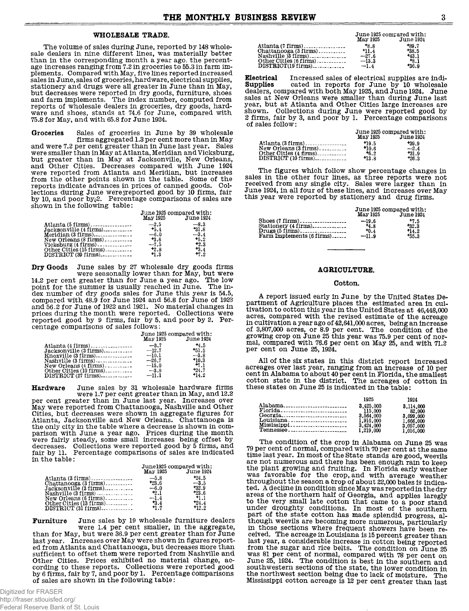#### WHOLESALE TRADE.

The volume of sales during June, reported by 148 wholesale dealers in nine different lines, was materially better than in the corresponding month a year ago, the percentage increases ranging from 7.2 in groceries to 55.3 in farm implements. Compared with May, five lines reported increased<br>sales in June, sales of groceries, hardware, electrical supplies, stationery and drugs were all greater in June than in May, but decreases were reported in dry goods, furniture, shoes and farm implements. The index number, computed from reports of wholesale dealers in groceries, dry goods, hard-<br>ware and shoes, stands at 74.6 for June, compared with 75.8 for May, and with 65.8 for June 1924.

Sales of groceries in June by 39 wholesale<br>firms aggregated 1.3 per cent more than in May Grocaries and were 7.2 per cent greater than in June last year. Sales were smaller than in May at Atlanta, Meridian and Vicksburg, but greater than in May at Jacksonville, New Orleans,<br>and Other Cities. Decreases compared with June 1924 were reported from Atlanta and Meridian, but increases from the other points shown in the table. Some of the reports indicate advances in prices of canned goods. Collections during June were preported good by 10 firms, fair<br>by 10, and poor by 2. Percentage comparisons of sales are shown in the following table:

|                                           | June 1925 compared with: |                    |  |
|-------------------------------------------|--------------------------|--------------------|--|
|                                           |                          | May 1925 June 1924 |  |
|                                           |                          | $-8.3$             |  |
| Jacksonville (4 firms)                    | 15.4                     | 31.8               |  |
|                                           |                          | $-3.4$             |  |
| $New Orleans (8 firms) \dots \dots \dots$ | $+3.6$                   | $+5.2$             |  |
|                                           | $-7.5$                   | $+2.3$             |  |
| Other Cities $(15 \text{ firms})$         | $+2.8$                   | $+3.4$             |  |
| DISTRICT (39 firms)                       | $+1.3$                   | $+7.2$             |  |

June sales by 27 wholesale dry goods firms Dry Goods were seasonally lower than for May, but were<br>14.2 per cent greater than for June a year ago. The low point for the summer is usually reached in June. The index number of dry goods sales for June this year is 54.5,<br>compared with 48.9 for June 1924 and 56.8 for June of 1923<br>and 56.2 for June of 1922 and 1921. No material changes in prices during the month were reported. Collections were reported good by 9 firms, fair by 5, and poor by 2. Percentage comparisons of sales follows:

|                                                               | June 1925 compared with: | May 1925 June 1924 |
|---------------------------------------------------------------|--------------------------|--------------------|
|                                                               |                          | $+4.5$             |
| Jacksonville (3 firms)                                        | $-12.7$                  | $+51.5$            |
|                                                               | $-10.1$                  | $-3.8$             |
| Nashville (3 firms) ---------------<br>$New Orleans(4 firms)$ | $-26.7$<br>$-15.0$       | $+10.3$<br>$+7.1$  |
|                                                               |                          | $+24.7$            |
| $\text{DISTRICT}(27 \text{ firms}) \text{}$                   | $-11.1$                  | $+14.2$            |

June sales by 31 wholesale hardware firms<br>were 1.7 per cent greater than in May, and 12.2 Hardware per cent greater than in June last year. Increases over May were reported from Chattanooga, Nashville and Other Cities, but decreases were shown in aggregate figures for Cities, but decreases were shown in aggregate rigures for<br>Atlanta, Jacksonville and New Orleans. Chattanooga is<br>the only city in the table where a decrease is shown in com-<br>parison with June a year ago. Prices during the m

|                         | June1925 compared with: |                    |  |
|-------------------------|-------------------------|--------------------|--|
|                         |                         | May 1925 June 1924 |  |
| Atlanta (3 firms)       | $-5.8$                  | $+24.5$            |  |
| $Chattanooga (3 firms)$ | $+23.6$                 | $-3.5$             |  |
| Jacksonville (3 firms)  | $-6.0$                  | $+32.9$            |  |
| Nashville(3 firms)      | $-2.1$                  | $+23.6$            |  |
|                         |                         | $^{+1.1}$          |  |
| Other Cities (13 firms) | $+3.4$                  | $+24.4$            |  |
|                         | 1.7                     | $^{+12.2}$         |  |

June sales by 19 wholesale furniture dealers **Furniture** were 1.4 per cent smaller, in the aggregate, than for May, but were 36.9 per cent greater than for June last year. Increases over May were shown in figures reported from Atlanta and Chattanooga, but decreases more than sufficient to offset them were reported from Nashville and Other Cities. Prices exhibited no material change, according to these reports. Collections were reported good<br>by 6 firms, fair by 7, and poor by 1. Percentage comparisons of sales are shown in the following table:

in the table:

|                              | May 1925 | June 1925 compared with:<br>June 1924 |
|------------------------------|----------|---------------------------------------|
|                              | $+8.8$   | $+89.7$                               |
|                              | $+11.4$  | $+38.5$                               |
| $Nashville$ $3 firms$ $1000$ | $-27.6$  | $+43.1$                               |
|                              | $-13.3$  | +8.1                                  |
|                              | $-1.4$   | $+36.9$                               |

**Electrical** Increased sales of electrical supplies are indi-<br>Supplies cated in reports for June by 10 wholesale<br>dealers, compared with both May 1925, and June 1924. June sales at New Orleans were smaller than during June last year, but at Atlanta and Other Cities large increases are shown. Collections during June were reported good by 2 firms, fair by 3, and poor by 1. Percentage comparisons of sales follow:

|                                                   | May 1925 | June 1925 compared with:<br><b>June 1924</b> |
|---------------------------------------------------|----------|----------------------------------------------|
| Atlanta $(3 \text{ firms})$ ,,,,,,,,,,,,,,,,,,,,, | $+19.5$  | $+39.9$                                      |
|                                                   | $*10.6$  | $-2.4$                                       |
|                                                   | $+6.2$   | $+31.9$                                      |
|                                                   | $+13.8$  | $+26.3$                                      |

The figures which follow show percentage changes in sales in the other four lines, as three reports were not<br>received from any single city. Sales were larger than in<br>June 1924, in all four of these lines, and increases over May this year were reported by stationery and drug firms.

|                                                           | June 1925 compared with: |                  |  |
|-----------------------------------------------------------|--------------------------|------------------|--|
|                                                           | May 1925                 | <b>June 1924</b> |  |
|                                                           | $-19.6$                  | $+7.5$           |  |
| Stationery (4 firms),,,,,,,,,,,,,,,                       | <sup>+</sup> 4.8         | $+32.3$          |  |
| Drugs (5 firms)                                           | $+0.4$                   | $+14.2$          |  |
| $\text{Farm}\text{ } \text{Implements}\text{ }$ (6 firms) | $-11.9$                  | +55.3            |  |

#### **AGRICULTURE.**

#### Cotton.

A report issued early in June by the United States Department of Agriculture places the estimated area in cul $t$ ivation to cotton this year in the United States at  $46,448,000$ acres, compared with the revised estimate of the acreage ates, compared with the relation of the condition of the condition of 3,807,000 acres, or 8.9 per cent. The condition of the growing crop on June 25 this year was 75.9 per cent of normal, compared with 76.6 per cent on May 25, and with 71.2 per cent on June 25, 1924.

All of the six states in this district report increased acreages over last year, ranging from an increase of 10 per cent in Alabama to about 40 per cent in Florida, the smallest cotton state in the district. The acreages of cotton in these states on June 25 is indicated in the table:

|           | 1925      | 1924      |
|-----------|-----------|-----------|
| Alabama   | 3.425.000 | 3.114.000 |
|           | 115.000   | 82.000    |
|           | 3.564.000 | 3,099,000 |
|           | 1.916.000 | 1.666.000 |
|           | 3.424,000 | 3.057.000 |
| Tennessee | 1,219,000 | 1.016.000 |

The condition of the crop in Alabama on June 25 was 79 per cent of normal, compared with 70 per cent at the same<br>time last year. In most of the State stands are good, weevils are not numerous and there has been enough rain to keep the plant growing and fruiting. In Florida early weather<br>was favorable for the crop, and with average weather<br>throughout the season a crop of about 22,000 bales is indicated. A decline in condition since May was reported in the dry areas of the northern half of Georgia, and applies laregly to the very small late cotton that came to a poor stand<br>under droughty conditions. In most of the southern part of the state cotton has made splendid progress, although weevils are becoming more numerous, particularly in those sections where frequent showers have been received. The acreage in Louisiana is 15 percent greater than last year, a considerable increase in cotton being reported from the sugar and rice belts. The condition on June 25 was 81 per cent of normal, compared with 78 per cent on<br>June 25, 1924. The condition is best in the southern and southwestern sections of the state, the lower condition in the northwest section being due to lack of moisture. The Mississippi cotton acreage is 12 per cent greater than last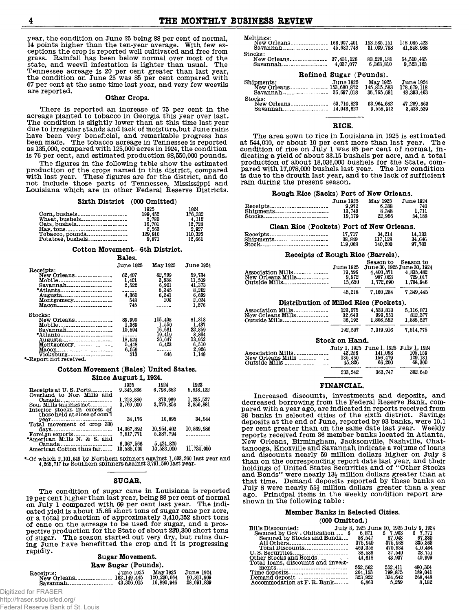**year, the condition on June 25 being 88 per cent of normal, 14 points higher than the ten-year average. With few exceptions the crop is reported well cultivated and free from grass. Rainfall has been below normal over most of the state, and weevil infestation is lighter than usual. The Tennessee acreage is 20 per cent greater than last year, the condition on June 25 was 85 per cent compared with 67 per cent at the same time last year, and very few weevils are reported.**

#### **Other Crops.**

**There is reported an increase of 75 per cent in the acreage planted to tobacco in Georgia this year over last. The condition is slightly lower than at this time last year due to irregular stands and lack of moisture,but June rains have been very beneficial, and remarkable progress has been made. The tobacco acreage in Tennessee is reported as 135,000, compared with 125,000 acres in 1924, the condition is 76 per cent, and estimated production 98,550,000 pounds.**

**The figures in the following table show the estimated production of the crops named in this district, compared with last year. These figures are for the district, and do not include those parts of Tennessee, Mississippi and Louisiana which are in other Federal Reserve Districts.**

#### **Sixth District (000 Omitted)**

|                   | 1925             | 1924             |
|-------------------|------------------|------------------|
| Corn, bushels     | 199.452<br>5.780 | 176.332<br>4.112 |
|                   | 16,701           | 12.728           |
|                   | 2.563            | 2.927            |
| Tobacco, pounds   | 129,910          | 110.326          |
| Potatoes, bushels | 9.871            | 12.661           |

#### **Cotton Movement—6th District. Bales.**

|                                             | ватез.           |          |                  |
|---------------------------------------------|------------------|----------|------------------|
|                                             | <b>June 1925</b> | May 1925 | <b>June 1924</b> |
| Receipts:                                   |                  |          |                  |
| New Orleans                                 | 62,407           | 62.799   | 59.734           |
| Mobile                                      | 1,421            | 3.938    | 11,509           |
| Savannah                                    | 2.522            | 6.901    | 41.373           |
| *Atlanta                                    | ------           | 5.345    | 8,202            |
| Augusta                                     | 4.360            | 6.241    | 6.699            |
| Montgomery                                  | 548              | 106      | 2.024            |
| Macon                                       | 745              | ------   | 1.576            |
| Stocks:                                     |                  |          |                  |
| New Orleans                                 | 89.990           | 115,408  | 81.818           |
| Mobile                                      | 1.369            | 1.550    | 1.437            |
| $Savannah$ <sub>-------------------</sub>   | 10.594           | 16.661   | 32,859           |
| *Atlanta                                    | ------           | 19.419   | 8.864            |
| Augusta                                     | 18.524           | 26.647   | 13.952           |
| $Montcompress$ <sub>-----------------</sub> | 5.448            | 6.423    | 6.510            |
| Macon                                       | 6.059            | ------   | 2.926            |
| Vicksburg                                   | 213              | 646      | 1.149            |
| *-Report not received.                      |                  |          |                  |

#### **Cotton Movement (Bales) United States. Since August 1,1924.**

|                              | 1925       | 1924       | 1923       |
|------------------------------|------------|------------|------------|
| Receipts at U.S. Ports       | 9.345.836  | 6.798.682  | 5.818.122  |
| Overland to Nor. Mills and   |            |            |            |
|                              | 1,218,880  | 873.969    | 1,235,527  |
| Sou. Mills takings net       | 3,769,000  | 3.270.856  | 3.850.881  |
| Interior stocks in excess of |            |            |            |
| those held at close of com'l |            |            |            |
| $vear$                       | 34.176     | 10.895     | 34.544     |
| Total movement of crop 330   |            |            |            |
| $d$ ays                      | 14.367,892 | 10.954.402 | 10.869.986 |
|                              | 7.817.771  | 5.387.794  | --------   |
| *American Mills N. & S. and  |            |            |            |
| Canada                       | 6.367.566  | 5,424,820  |            |
| American Cotton thus far     | 13.585.000 | 10.582.000 | 11,734,000 |
|                              |            |            |            |

 $*$ -Of which 2,101,849 by Northern spinners against 1,633,260 last year and  $4,265,717$  by Southern spinners against  $3,791,560$  last year.

#### **SUGAR.**

**The condition of sugar cane in Louisiana is reported 19 per cent higher than last year, being 88 per cent of normal on July 1 compared with 69 per cent last year. The indicated yield is about 15.85 short tons of sugar cane per acre, or a total production of approximately 3,410,352 short tons of cane on the acreage to be used for sugar, and a prospective production for the State of about 239,300 short tons of sugar. The season started out very dry, but rains during June have benefitted the crop and it is progressing rapidly.**

#### **Sugar Movement.**

|  | Raw Sugar (Pounds). |  |  |
|--|---------------------|--|--|
|--|---------------------|--|--|

| Receipts:<br>New Orleans 162,149,445 | June 1925. | May 1925<br>120.230.664<br>16.890.946 | <b>June 1924</b><br>90.811.909<br>28,691,839 |
|--------------------------------------|------------|---------------------------------------|----------------------------------------------|
|--------------------------------------|------------|---------------------------------------|----------------------------------------------|

Digitized for FRASER

http://fraser.stlouisfed.org/ Federal Reserve Bank of St. Louis

| Meltings:<br>New Orleans<br>$Savannah$ <sub>rand</sub> $\ldots$ | 163,907,401                     | 153.585.151             | 148,085,423               |
|-----------------------------------------------------------------|---------------------------------|-------------------------|---------------------------|
| Stocks:                                                         | 45.682.748                      | 31,039,788              | 41,848,988                |
| New Orleans<br>$Savannah$ <sub>------------------</sub>         | 37.431.126<br>4,037,077         | 83.228.181<br>6,363,810 | 54.510.465<br>9.523.163   |
|                                                                 | Refined Sugar (Pounds).         |                         |                           |
| Shipments:<br>New Orleans                                       | <b>June 1925</b><br>153.680.872 | May 1925<br>145.815.583 | <b>June 1924</b>          |
| $\frac{1}{2}$<br>Savannah.                                      |                                 | 36.765.681              | 178,679,118<br>48.393.463 |

#### **RICE.**

**The area sown to rice in Louisiana in 1925 is estimated at 544,000, or about 10 per cent more than last year. The condition of rice on July 1 was 85 per cent of normal, indicating a yield of about 33.15 bushels per acre, and a total production of about 18,034,000 bushels for the State, compared with 17,078,000 bushels last year. The low condition is due to the drouth last year, and to the lack of sufficient rain during the present season.**

#### **Rough Rice (Sacks) Port of New Orleans.**

|                                                      | <b>June 1925</b> | May 1925 | <b>June 1924</b> |
|------------------------------------------------------|------------------|----------|------------------|
| $\text{Receints}\text{}\text{}\text{}\text{}\text{}$ | 9.972            | 6.338    | 740              |
|                                                      | 13.749           | 8.348    | 1.711            |
| Stocks                                               | 19.179           | 22.956   | 34.188           |

| Clean Rice (Pockets) Port of New Orleans. |         |         |        |
|-------------------------------------------|---------|---------|--------|
| Receipts                                  | 17.717  | 34,214  | 14.133 |
| Shipments______________________           | 38.849  | 117.128 | 34,646 |
| Stock                                     | 119,068 | 140.200 | 97.703 |

#### **Receipts of Rough Rice (Barrels).**

| Association Mills<br>New Orleans Mills<br>Outside Mills | <b>June 1925</b><br>19.596<br>9.972<br>15.650 | Season to<br>June 30, 1925 June 30, 1924<br>4.400.571<br>987.023<br>1.772.690 | Season to<br>4.835.482<br>729.017<br>1.784.946 |
|---------------------------------------------------------|-----------------------------------------------|-------------------------------------------------------------------------------|------------------------------------------------|
|                                                         | 45.218                                        | 7.160.284                                                                     | 7.349.445                                      |

#### **Distribution of Milled Rice (Pockets).**

| Association Mills    | 123.675 | 4.533.813 | 5.116.871 |
|----------------------|---------|-----------|-----------|
| New Orleans Mills    | 32.640  | 999.551   | 812, 377  |
| <b>Outside Mills</b> | 36.192  | 1.806.552 | 1.885.527 |
|                      | 192.507 | 7.339.916 | 7.814.775 |

#### **Stock on Hand.**

| Association Mills<br>New Orleans Mills<br>Outside Mills | 42.256<br>135.460<br>45.826 | July 1, 1925 June 1, 1925 July 1, 1924<br>141.068<br>156.479<br>66,200 | 105.159<br>129, 181<br>68.300 |
|---------------------------------------------------------|-----------------------------|------------------------------------------------------------------------|-------------------------------|
|                                                         | 233.542                     | 363.747                                                                | 302.640                       |

#### **FINANCIAL.**

**Increased discounts, investments and deposits, and decreased borrowing from the Federal Reserve Bank, compared with a year ago, are indicated in reports received from 36 banks in selected cities of the sixth district. Savings deposits at the end of June, reported by 93 banks, were 10.1 per cent greater than on the same date last year. Weekly reports received from 36 member banks located in Atlanta, New Orleans, Birmingham, Jacksonville, Nashville, Chattanooga, Knoxville and Savannah indicate a volume of loans and discounts nearly 59 million dollars higher on July 8 than on the corresponding report date last year, and their holdings of United States Securities and of "Other Stocks and Bonds'\* were nearly 13J million dollars greater than at that time. Demand deposits reported by these banks on** July 8 were nearly  $55\frac{1}{2}$  million dollars greater than a year **ago. Principal items in the weekly condition report are shown in the following table:**

#### **Member Banks in Selected Cities.**

**(000 Omitted.)**

| <b>Bills Discounted:                   July 8, 1925 June 10, 1925 July 9, 1924</b> |         |         |         |
|------------------------------------------------------------------------------------|---------|---------|---------|
| Secured by Gov. Obligation $\ldots$ \$ 6.871                                       |         | \$7.903 | \$7.771 |
| Secured by Stocks and Bonds                                                        | 86.547  | 87.043  | 67.330  |
|                                                                                    | 375.940 | 375.988 | 335.363 |
| Total Discounts                                                                    | 469.358 | 470.934 | 410.464 |
| U.S. Securities                                                                    | 38.586  | 37.540  | 28.751  |
| Other Stocks and Bonds                                                             | 44.618  | 43.937  | 40.999  |
| Total loans, discounts and invest-                                                 |         |         |         |
| ments                                                                              | 552.562 | 552.411 | 480.304 |
| Time deposits                                                                      | 204.153 | 199.875 | 189.041 |
| Demand deposit $\ldots$                                                            | 323,922 | 334.642 | 268.448 |
| $\text{Accommodation at F. R. Bank}$ 6.863                                         |         | 5.259   | 8.182   |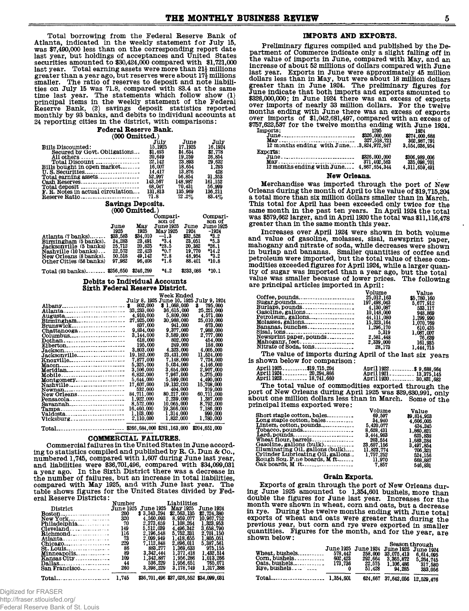Total borrowing from the Federal Reserve Bank of Atlanta, indicated in the weekly statement for July 15, was \$7.490,000 less than on the corresponding report date last year, but holdings of acceptances and United States securities amounted to \$30,424,000 compared with \$1,721,000 last year. Total earning assets were more than  $21\frac{1}{2}$  millions greater than a year ago, but reserves were about 17<sup>1</sup>/<sub>2</sub> millions smaller. The ratio of reserves to deposit and note liabili-<br>ties on July 15 was 71.8, compared with 83.4 at the same the last year. The statements which follow show (1)<br>principal items in the weekly statement of the Federal<br>Reserve Bank, (2) savings deposit statistics reported monthly by 93 banks, and debits to individual accounts at 24 reporting cities in the district, with comparisons:

# Federal Reserve Bank.

| $1000$ Onlinearly                 |         |          |         |  |
|-----------------------------------|---------|----------|---------|--|
|                                   | July    | June     | July    |  |
| <b>Bills Discounted:</b>          | 15.1925 | 17.1925  | 16.1924 |  |
| Secured by Govt. Obligations      | \$1.493 | \$4.634  | \$2,778 |  |
| All others                        | 20,649  | 19.259   | 26.854  |  |
| Total Discount                    | 22.142  | 23,893   | 29.632  |  |
| Bills bought in open market       | 16.007  | 18.654   | 1.293   |  |
|                                   | 14.417  | 13.876   | 428     |  |
| Total earning assets              | 52.997  | 56.854   | 31.353  |  |
| Cash Reserves                     | 143.567 | 148.987  | 161.152 |  |
|                                   | 68.047  | 70.431   | 56.999  |  |
| F. R. Notes in actual circulation | 131.813 | 135.969  | 136.211 |  |
| Reserve Ratio                     | 71.8    | $72.2\%$ | 83.4%   |  |

### Savings Deposits.

|                         |          | (UUU UIIILLEGI.) |                    |          |                    |
|-------------------------|----------|------------------|--------------------|----------|--------------------|
|                         |          |                  | Compari-<br>son of |          | Compari-<br>son of |
|                         | June     | May              | <b>June 1925</b>   | June     | <b>June 1925</b>   |
|                         | 1925     | 1925             | May 1925           | 1924     | -1924              |
| Atlanta (7 banks)       | \$33,583 | \$34,010         | $-1.3$             | \$32,528 | -3.2               |
| Birmingham (5 banks).   | 24,283   | 23.491           | $+3.4$             | 23,051   | +5.3               |
| Jacksonville (5 banks)  | 25.712   | 20,825           | $+23.5$            | 20.382   | 26.1               |
| Nashville (10 banks)    | 22.572   | 22.423           | +0.7               | 19.770   | +14.2              |
| New Orleans (8 banks).  | 50.518   | 49.142           | +2.8               | 48.954   | $^{43.2}$          |
| Other Cities (58 hanks) | 97 982   | 96.408           | +1.6               | 88.401   | +10.8              |

#### Total (93 banks)........ \$256,650 \$246,299  $+4.2$  $$233.086$  \*10.1

#### Debits to Individual Accounts Sixth Federal Reserve District.

|                                 |            | Week Ended                 |                   |
|---------------------------------|------------|----------------------------|-------------------|
|                                 |            | July 8, 1925 June 10, 1925 | July 9, 1924      |
| Albany                          | \$ 802,000 | \$1,068,000                | \$795.000         |
| $\text{Atlanta}$                | 33,233,000 | 36,615,000                 | 25,221,000        |
| Augusta________________________ | 4,910,000  | 5,809,000                  | 4.571.000         |
| Birmingham                      | 27,925,000 | 30,988,000                 | <b>25.010.000</b> |
| <b>Brunswick</b>                | 837.000    | 941.000                    | 673,000           |
| Chattanooga                     | 9.834.000  | 9.377.000                  | 7.988.000         |
| Columbus                        | 3.144.000  | 3.589.000                  | 2,777,000         |
| Dothan                          | 618.000    | 802,000                    | 454.000           |
| Elberton_______________________ | 195,000    | 249.000                    | 158.000           |
| Jackson                         | 3.803.000  | 4.323.000                  | 4.005.000         |
| Jacksonville                    | 19.182.000 | 23.431.000                 | 11.524.000        |
| KnoxVille                       | 7.877.000  | 7.148.000                  | 7.724.000         |
| Macon-------------------------- | 5.325.000  | 5.034.000                  | 4.146.000         |
| <u> Meridian</u>                | 3.506.000  | 3,654,000                  | 2.907.000         |
| Mobile                          | 6.832.000  | 7.967.000                  | 5,275,000         |
| Montgomery                      | 5.644.000  | 5.599.000                  | 4.490.000         |
| Nashville                       | 17.607.000 | 19,132,000                 | <b>15.708.000</b> |
| Newnan_________________________ | 532,000    | 404,000                    | 379,000           |
| <b>New Orleans.</b> .           | 84.711.000 | 80.217.000                 | 60,711,000        |
|                                 | 1,922,000  | 2,239,000                  | 1.387.000         |
| Savannah                        | 8,572,000  | 10.065.000                 | 8.792.000         |
| Tampa_________________________  | 16,460,000 | 19.366.000                 | 7.186.000         |
|                                 | 1,103,000  | 1.314.000                  | 990.000           |
| Vicksburg_____________________  | 2.110.000  | 1.832,000                  | 1,780,000         |
|                                 |            |                            |                   |

#### COMMERCIAL FAILURES.

Commercial failures in the United States in June according to statistics compiled and published by R. G. Dun & Co., numbered 1,745, compared with 1,607 during June last year,<br>and liabilities were \$36,701,496, compared with \$34,099,031<br>a year ago. In the Sixth District there was a decrease in the number of failures, but an increase in total liabilities, compared with May 1925, and with June last year. The table shows figures for the United States divided by Federal Reserve Districts:

|                                                                                         | Number           | Liabilities      |                                        |             |  |
|-----------------------------------------------------------------------------------------|------------------|------------------|----------------------------------------|-------------|--|
| <b>District</b>                                                                         | <b>June 1925</b> | <b>June 1925</b> | May 1925                               | June 1924.  |  |
|                                                                                         | 200              | \$3.343.294      | \$2,563,135                            | \$2,724,380 |  |
|                                                                                         | 320              | 4,560,093        | 8.959.077                              | 10.967.752  |  |
| Philadelphia                                                                            | 70               | 2.373.659        | 1,108,264                              | 1.323.953   |  |
| $\alpha$ of $\alpha$ and $\beta$ is $\beta$ is $\beta$ is $\beta$ is $\beta$ is $\beta$ | 149              | 5.512.039        | 4.496.342                              | 3.658.790   |  |
| Richmond                                                                                | 116              | 2.196.548        | 5.752.331                              | 2.701.150   |  |
| Atlanta                                                                                 | 73               | 2.099.949        | 1.418.655                              | 1.805.051   |  |
| Chicap0                                                                                 | 229              | 7.112.848        | 2.896.011                              | 5.387.561   |  |
|                                                                                         | 86               | 883.277          | 1.369.633                              | 975.155     |  |
| Minneapolis                                                                             | 89               | 3.342.444        | 1.371.418                              | 1.432.514   |  |
| $Kansas City \ldots \ldots$                                                             | 109              | 1.342.887        | 1.956.286                              | 1.013.266   |  |
| Dallas                                                                                  | 44               | 536.229          | 1.956.651                              | 765.071     |  |
| San Francisco                                                                           | 260              | 3,398,229        | 3.178.749                              | 1.317.388   |  |
| 1.745<br>Total                                                                          |                  |                  | \$36,701,496,\$37,026,552,\$34,099,031 |             |  |

## Digitized for FRASER http://fraser.stlouisfed.org/

Federal Reserve Bank of St. Louis

#### IMPORTS AND EXPORTS.

Preliminary figures compiled and published by the Department of Commerce indicate only a slight falling off in the value of imports in June, compared with May, and an increase of about 52 millions of dollars compared with June increase of about or minimals of approximately 45 million<br>dollars less than in May, but were about 18 million dollars<br>greater than in June 1924. The preliminary figures for June indicate that both imports and exports amounted to \$326,000,000; in June 1924 there was an excess of exports<br>over imports of nearly 33 million dollars. For the twelve over imports or nearly as million workers. For the ewerty<br>months ending with June there was an excess of exports<br>over imports of \$1,042,681,497, compared with an excess of<br>\$757,622,587 for the twelve months ending with Ju

| <br>$June \dots \dots \dots \dots \dots \dots \dots \dots \dots \dots$<br>12 months ending with June3, 824, 972, 847 | .<br>\$326,000,000<br>327,518,721 | --<br>\$274,000,688<br>302,987,791<br>3,554,036,954 |
|----------------------------------------------------------------------------------------------------------------------|-----------------------------------|-----------------------------------------------------|
| Exports:<br>June<br>12 months ending with June 4,867,654,344                                                         | \$326,000,000<br>371.402.583      | \$306,989,006<br>335,098,701<br>4,311,659,491       |

#### New Orleans.

Merchandise was imported through the port of New<br>Orleans during the month of April to the value of \$19,715,204 a total more than six million dollars smaller than in March. This total for April has been exceeded only twice for the<br>same month in the past ten years. In April 1924 the total<br>was \$579,662 larger, and in April 1920 the total was \$11,116,478 greater than in the same month this year.

Increases over April 1924 were shown in both volume Increases over Applitude of gasoline, molasses, sisal, newsprint paper,<br>mahogany and nitrate of soda, while decreases were shown<br>in burlap and bananas. Smaller quantities of coffee and<br>petroleum were imported, but the tota modities exceeded figures for April 1924, while a larger quan-<br>ity of sugar was imported than a year ago, but the total value was smaller because of lower prices. The following are principal articles imported in April:

|                                                                    | Volume       | Value       |
|--------------------------------------------------------------------|--------------|-------------|
| Cof fee, pounds                                                    | 25.012.163   | \$5,780,160 |
|                                                                    | 197,498,043  | 5.677.912   |
|                                                                    | 4.130.087    | 533.117     |
| Gasoline, gallons                                                  | 10,148,000   | 948.869     |
| Petroleum, gallons                                                 | 44, 111, 080 | 1,299,990   |
| Molasses, gallons                                                  | 15.323.164   | 1.070.769   |
| Bananas, bunches                                                   | 1.296.170    | 610.435     |
|                                                                    |              | 1.087.007   |
| Newsprint paper, pounds                                            | 2.581.448    | 76.639      |
| $\text{Mahogany}, \text{feet} \dots \dots \dots \dots \dots \dots$ | 2,339,000    | 161,935     |
| Nitrate of Soda, tons                                              | 28.173       | 1.444.715   |

The value of imports during April of the last six years is shown below for comparison?

| April 1925\$19.715.204 | April 1922\$ 9.688.664                    |  |
|------------------------|-------------------------------------------|--|
| April 1924. 20.294.866 | April 1921 - - - - - - - - - - 13,375,145 |  |
| April 1923. 18.741.660 | April 1920 30,831,682                     |  |

The total value of commodities exported through the port of New Orleans during April 1925 was \$39,630,991, only about one million dollars less than in March. Some of the principal items exported were:

|                                   | volume     | Value      |
|-----------------------------------|------------|------------|
| Short staple cotton, bales        | 69.597     | 89.814.953 |
| Long staple cotton, bales         | 34,940     | 4.606.005  |
| Linters, cotton, pounds           | 5.420.077  | 434.245    |
| Tobacco, pounds                   | 8.628.431  | 1.860.821  |
| Lard.pounds                       | 3.444.983  | 625.838    |
| Wheat flour, barrels              | 203.554    | 1.683.284  |
| Gasoline, gallons (bulk).         | 23,657,156 | 3.497,854  |
| Illuminating Oil, gallons (bulk)  | 11.823.774 | 706.321    |
| Cylinder Lubricating Oil, gallons | 1,757,252  | 524.156    |
| Rough Sou. Pine boards, M ft      | 11.970     | 668,887    |
|                                   |            |            |
|                                   | 7.857      | 546.831    |

#### Grain Exports.

Exports of grain through the port of New Orleans during June 1925 amounted to 1,354,601 bushels, more than double the figures for June last year. Increases for the month were shown in wheat, corn and oats, but a decrease in rye. During the twelve months ending with June total exports of wheat and oats were greater than during the previous year, but corn and rye were exported in smaller quantities. Figures for the month, and for the year, are shown below:  $B$ oogom dhaaccat

| $Com.$ bushels<br>$0$ ats, bushels<br>$Rye, bushels$ $\ldots$ | 578.442<br>602.423<br>173.736 | 258.000<br>292.664<br>22.575<br>51.428 | June 1925 June 1924 June 1925 June 1924<br>33,075.413<br>3.365.872<br>1.106.486<br>94.285 | peason nniongu<br>6,614,095<br>5.264.745<br>317.580<br>333.056 |  |
|---------------------------------------------------------------|-------------------------------|----------------------------------------|-------------------------------------------------------------------------------------------|----------------------------------------------------------------|--|
|                                                               |                               |                                        | 624,667 37,642,056 12,529,476                                                             |                                                                |  |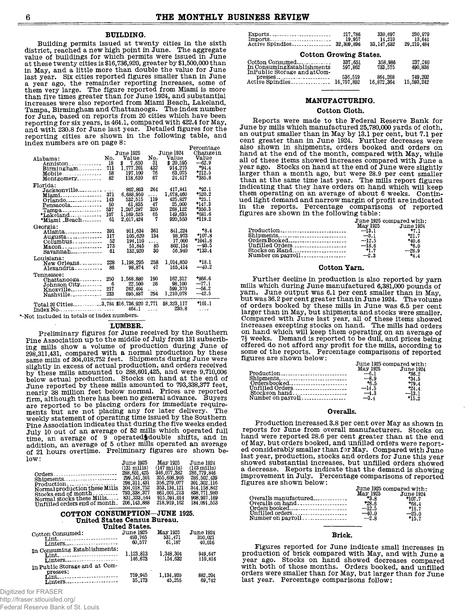#### BUILDING.

Building permits issued at twenty cities in the sixth district, reached a new high point in June. The aggregate value of buildings for which permits were issued in June at these twenty cities is \$16,736,920, greater by \$1,500,000 than in May, and a little more than double the value for June last year. Six citles reported figures smaller than in June a year ago, the remainder reporting increases, some of them very large. The figure reported from Miami is more than five times greater than for June 1924, and substantial increases were also reported from Miami Beacn, Lakeland,<br>Tampa, Birmingham and Chattanooga. The index number for June, based on reports from 20 cities which have been reporting for six years, is 464.1, compared with 422.4 for May, and with 230.8 for June last year. Detailed figures for the  $\,$ reporting cities are shown in the following table, and index numbers are on page 8:

|                                         |     |                  |        |                  | Percentage |
|-----------------------------------------|-----|------------------|--------|------------------|------------|
|                                         |     | <b>June 1925</b> |        | <b>June 1924</b> | Change in  |
| Alabama:                                | No. | Value            | No.    | Value            | Value      |
| Anniston <sub>------------</sub>        | 18  | \$7,650          | 31     | \$20.595         | $-62.9$    |
| Birmingham                              | 711 | 1,777,201        | 432    | 914,275          | $+94.4$    |
| Mobile                                  | 58  | 197,100          | 76     | 63,075           | $+212.5$   |
| Montgomery                              | 82  | 118,610          | 67     | 24.417           | $+385.8$   |
|                                         |     |                  |        |                  |            |
| Florida:                                |     |                  |        |                  |            |
|                                         |     | 802,803          | 264    | 417.841          | $+92.1$    |
| Miami                                   | 371 | 6,688,950        | .      | 1,078,460        | $+520.2$   |
| Orlando                                 | 143 | 532,515          | 119    | 425,827          | $+25.1$    |
| Pensacola <sub>------</sub> -------     | 50  | 61,835           | 47     | 25,000           | $+147.3$   |
| $Tampa$                                 | 537 | 1,207,287        | 320    | 268,122          | $+350.3$   |
| *Lakeland-------------                  | 107 | 1,169,525        | 65     | 149,635          | $+681.6$   |
| *Miami _Beach                           | 61  | 2.017.424        | 7      | 920,550          | *119.2     |
|                                         |     |                  |        |                  |            |
| Georgia:                                | 391 | 911,634          | 361    | 841,224          | $+8.4$     |
| Atlanta______________                   |     |                  | 134    | 98.973           | +107.8     |
| Augusta                                 | 117 | 205,620          |        |                  | *1041.8    |
| Columbus                                | 52  | 194,110          |        | 17,000           |            |
| Macon                                   | 173 | 51.845           | 85     | 802, 134         | $-93.5$    |
| $savannah$ ------------                 | 61  | 132.920          | 30     | 56.940           | $+133.4$   |
| Louisiana:                              |     |                  |        |                  |            |
| New Orleans                             | 228 | 1.198.295        | 258    | 1,014,850        | +18.1      |
| Alexandria                              | 86  | 98.874           | 47     | 165.414          | $-40.2$    |
|                                         |     |                  |        |                  |            |
| Tennessee:                              | 250 |                  | 190    | 162.312          | *866.6     |
| Chattanooga - - - - - - - -             | 6   | 1,568,880        | 26     | 98.100           | $-77.1$    |
| Johnson City                            |     | 22,500           |        |                  | $-56.2$    |
| Knoxville                               | 217 | 262,404          | ----   | 599,370          |            |
| Nashville                               | 233 | 695,887          | 294    | 1.210.078        | $-42.5$    |
|                                         |     |                  |        |                  | $+101.1$   |
| Total 20 Cities3,784 \$16,736,920 2,771 |     |                  |        | \$8,323,117      |            |
|                                         |     | 464.1            | $   -$ | 230.8            | $- - -$    |

\*-Not included in totals or index numbers.

#### LUMBER.

Preliminary figures for June received by the Southern Pine Association up to the middle of July from 131 subscribing mills show a volume of production during June of 298,311,431, compared with a normal production by these<br>same mills of 304,018,752 feet. Shipments during June were<br>slightly in excess of actual production, and orders received by these mills amounted to 288,601,425, and were 9,710,006<br>below actual production. Stocks on hand at the end of June reported by these mills amounted to 793,338,377 feet, nearly 38 million feet below normal. Prices are reported firm, although there has been no general advance. Buyers<br>are reported to be placing orders for immediate require-<br>ments but are not placing any for later delivery. The<br>weekly statement of operating time issued by the South Pine Association indicates that during the five weeks ended July 10 out of an average of 52 mills which operated full time, an average of 9 operated double shifts, and in addition, an average of 5 other mills operated an average of 21 hours overtime. Preliminary figures are shown be-

| low:                          |                       |                       |                       |
|-------------------------------|-----------------------|-----------------------|-----------------------|
|                               | <b>June 1925</b>      | May 1925              | June 1924             |
|                               | $(131 \text{ mills})$ | $(147 \text{ miles})$ | $(143 \text{ mills})$ |
| Orders                        | 288.601.425           | 346.077.382           | 286.779.846           |
| Shipments                     | 299.541.501           | 355,608,946           | 286,502,439           |
| Production                    | 298.311.431           | 356,279.077           | 301.302.116           |
| Normal production these Mills | 304.018.752           | 353.134.121           | 344.158.842           |
| Stocks end of month           | 793.338.377           | 861,001,213           | 838.771.980           |
| Normal stocks these Mills     | 831, 333, 544         | 915.591.014           | 908.937.169           |
| Unfilled orders end of month. | 206.143.888           | 218.919.162           | 184,091,553           |
|                               |                       |                       |                       |

#### COTTON CONSUMPTION-JUNE 1925. United States Census Bureau.

|                                                                                      | United States.                        |                               |                                       |
|--------------------------------------------------------------------------------------|---------------------------------------|-------------------------------|---------------------------------------|
| Cotton Consumed:<br>Lint <sub>-contract</sub> -contract-contract-<br>Linters         | <b>June 1925</b><br>493.765<br>60.577 | May 1925<br>531.471<br>61.187 | <b>June 1924</b><br>350.021<br>40.016 |
| In Consuming Establishments:<br>Linters                                              | 1.123.813<br>146.673                  | 1,348,304<br>154.632          | 949.647<br>110.816                    |
| In Public Storage and at Com-<br>presses:<br>Lint________________________<br>Linters | 759.945<br>35.173                     | 1,134,920<br>45.255           | 882.204<br>69.742                     |

|  |  | Digitized for FRASER |  |
|--|--|----------------------|--|
|--|--|----------------------|--|

http://fraser.stlouisfed.org/

Federal Reserve Bank of St. Louis

| 217.786<br>19.957 | 330.697<br>14.219<br>33.147.632 | 230.979<br>13.641<br>29.219.484 |
|-------------------|---------------------------------|---------------------------------|
|                   |                                 |                                 |

#### **Cotton Growing States.**

| Cotton Consumed             | 337.651 | 358,986               | 237.240               |
|-----------------------------|---------|-----------------------|-----------------------|
| In Consuming Establishments | 597.862 | 733.575               | 490.838               |
| InPublic Storage and atCom- | 536.519 | 864.268<br>16.872.364 | 749.202<br>15.593.242 |

### **MANUFACTURING.**

#### **Cotton Cloth.**

**Reports were made to the Federal Reserve Bank for June by mills which manufactured 25,780,000 yards of cloth, an output smaller than in May by 13.1 per cent, but 7.1 per cent greater than in June 1924. Further decreases were also shown in shipments, orders booked and orders on hand at the end of the month, compared with May, while all of these items showed increases compared with June a year ago. Stocks on hand at the end of June were slightly larger than a month ago, but were 28.9 per cent smaller than at the same time last year. The mills report figures indicating that they have orders on hand which will keep them operating on an average of about 6 weeks. Continued light demand and narrow margin of profit are indicated in the reports. Percentage comparisons of reported figures are shown in the following table:**

|                                           |          | June 1925 compared with: |
|-------------------------------------------|----------|--------------------------|
|                                           | May 1925 | June 1924                |
| Production ___________________________    | $-13.1$  | +7.1                     |
|                                           | $-3.1$   | +21.7                    |
|                                           | $-12.5$  | +40.6                    |
|                                           | $-18.6$  | $+6.0$                   |
| Stocks on Hand $\ldots$ $\ldots$ $\ldots$ | $+1.7$   | $-28.9$                  |
|                                           | $-2.3$   | $+4.4$                   |
|                                           |          |                          |

#### **Cotton Yarn.**

**Further decline in production is also reported by yarn mills which during June manufactured 6,381,000 pounds of yarn. June output was 6.1 per cent smaller than in May, but was 36.2 per cent greater than in June 1924. The volume of orders booked by these mills in June was 6.5 per cent larger than in May, but shipments and stocks were smaller. Compared with June last year, all of these items showed increases excepting stocks on hand. The mills had orders on hand which will keep them operating on an average of** *7i* **weeks. Demand is reported to be dull, and prices being offered do not afford any profit for the mills, according to some of the reports. Percentage comparisons of reported figures are shown below:**

| Ordersbooked<br>Number on payroll<br>$-3.4$ | June 1925 compared with:<br>May 1925 June 1924<br>$-6.1$<br>$+36.2$<br>$+34.5$<br>$+6.5$<br>$+79.4$<br>$-14.5$<br>124.4<br>$-4.3$<br>$-13.1$ |  |
|---------------------------------------------|----------------------------------------------------------------------------------------------------------------------------------------------|--|
|---------------------------------------------|----------------------------------------------------------------------------------------------------------------------------------------------|--|

#### **Overalls.**

**Production increased 3.8 per cent over May as shown in reports for June from overall manufacturers. Stocks on hand were reported 28.6 per cent greater than at the end of May, but orders booked, and unfilled orders were reported considerably smaller than for May. Compared with June last year, production, stocks and orders for June this year showed substantial increases, but unfilled orders showed a decrease. Reports indicate that the demand is showing improvement in July. Percentage comparisons of reported figures are shown below:**

|                                          | June 1925 compared with: |                    |
|------------------------------------------|--------------------------|--------------------|
|                                          | May 1925                 | <b>June 1924</b>   |
| Overalls manufactured                    | $+3.8$                   | +107.7             |
| Overalls on hand<br>$Orders\n  to\n  of$ | $+28.6$                  | *68.4              |
|                                          | $-12.5$<br>$-40.0$       | *16.7              |
| Number on payroll                        | $-2.8$                   | $-25.0$<br>$+15.7$ |
|                                          |                          |                    |

#### **Brick.**

**Figures reported for June indicate small increases in production of brick compared with May, and with June a year ago. Stocks on hand showed decreases compared with both of those months. Orders booked, and unfilled orders were smaller than for May, but larger than for June last year. Percentage comparisons follow:**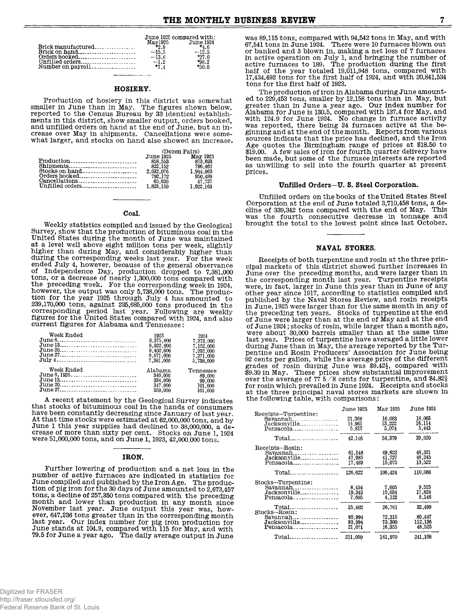|                   |         | June 1925 compared with: |
|-------------------|---------|--------------------------|
|                   | May1925 | June 1924                |
|                   | $+2.9$  | $-4.6$                   |
|                   | $-15.5$ | $-12.5$                  |
|                   | $-13.6$ | $+27.0$                  |
| Unfilled orders   | $-1.2$  | $+98.2$                  |
| Number on payroll | $+7.4$  | $+50.0$                  |

#### HOSIERY.

Production of hosiery in this district was somewhat smaller in June than in May. The figures shown below, reported to the Census Bureau by 33 identical establishments in this district, show smaller output, orders booked, and unfilled orders on hand at the end of June, but an increase over May in shipments. Cancellations were somewhat larger, and stocks on hand also showed an increase.

|                           | (Dozen Pairs) |           |  |
|---------------------------|---------------|-----------|--|
|                           | June 1925     | May 1925  |  |
|                           | 858.553       | 873.693   |  |
|                           | 822.152       | 796.467   |  |
| Stocks on hand            | 2.032.076     | 1.944.963 |  |
|                           | 792.172       | 950.489   |  |
|                           | 65.620        | 47.727    |  |
| $Unfilled orders_{\dots}$ | 1.823.150     | 1,922,163 |  |

#### Coal.

Weekly statistics compiled and issued by the Geological Survey, show that the production of bituminous coal in the United States during the month of June was maintained at a level well above eight million tons per week, slightly<br>higher than during May, and considerably higher than<br>during the corresponding weeks last year. For the week ended July 4, however, because fist year. For the week<br>of Independence Day, production dropped to 7,381,000<br>tons, or a decrease of nearly 1,300,000 tons compared with<br>the preceding week. For the corresponding week in 1924, tion for the year 1925 through July 4 has amounted to 239,170,000 tons, against 235,685,000 tons produced in the corresponding period last year. Following are weekly figures for the United States compared with 1924, and also current figures for Alabama and Tennessee:

| Week Ended | 1925<br>8.375.000      | 1924<br>7.373.000      |
|------------|------------------------|------------------------|
| June 20    | 8.622.000<br>8.402.000 | 7.152.000              |
| July 4     | 8.671.000              | 7,202,000<br>7,371,000 |
| Week Ended | 7,381,000              | 5.738.000              |
|            | Alabama<br>340.000     | Tennessee<br>89.000    |
| June $20$  | 334,000<br>347.000     | 99,000<br>101,000      |
|            | 359,000                | 101,000                |

A recent statement by the Geological Survey indicates that stocks of bituminous coal in the hands of consumers have been constantly decreasing since January of last year. At that time stocks were estimated at 62,000,000 tons, and by June 1 this year supplies had declined to 38,000,000, a decrease of more than sixty per cent. Stocks on June 1, 1924<br>were 51,000,000 tons, and on June 1, 1923, 42,000,000 tons.

#### IRON.

Further lowering of production and a net loss in the number of active furnaces are indicated in statistics for June compiled and published by the Iron Age. The production of pig iron for the 30 days of June amounted to  $\hat{2}$ , 673, 457 tons, a decline of 257,350 tons compared with the preceding month and lower than production in any month since<br>November last year. June output this year was, how-<br>ever, 647,236 tons greater than in the corresponding month last year. Our index number for pig iron production for June stands at 104.9, compared with 115 for May, and with 79.5 for June a year ago. The daily average output in June was 89,115 tons, compared with 94,542 tons in May, and with 67,541 tons in June 1924. There were 10 furnaces blown out or banked and 3 blown in, making a net loss of 7 furnaces of button of active operation on July 1, and bringing the number of active furnaces to 189. The production during the first half of the year totaled 19,011,948 tons, compared with 17,434,492 tons for the first half of 1924, and with 20,841,534 tons for the first half of 1923.

The production of iron in Alabama during June amounted to 229,453 tons, smaller by 12,158 tons than in May, but greater than in June a year ago. Our index number for<br>Alabama for June is 130.5, compared with 137.4 for May, and<br>with 124.9 for June 1924. No change in furnace activity<br>was reported, there being 24 furnaces active at the ginning and at the end of the month. Reports from various sources indicate that the price has declined, and the Iron Age quotes the Birmingham range of prices at \$18.50 to \$19.00. A few sales of iron for fourth quarter delivery have been made, but some of the furnace interests are reported as unwilling to sell into the fourth quarter at present prices.

#### Unfilled Orders--U. S. Steel Corporation.

Unfilled orders on the books of the United States Steel Corporation at the end of June totaled 3,710,458 tons, a decline of 339,342 tons compared with the end of May. This was the fourth consecutive decrease in tonnage and brought the total to the lowest point since last October.

#### NAVAL STORES.

Receipts of both turpentine and rosin at the three principal markets of this district showed further increases in June over the preceding months, and were larger than in the corresponding month last year. Turpentine receipts were, in fact, larger in June this year than in June of any other year since 1917, according to statistics compiled and published by the Naval Stores Review, and rosin receipts in June, 1925 were larger than for the same month in any of the preceding ten years. Stocks of turpentine at the end of June were larger than at the end of May and at the end of June 1924; stocks of rosin, while larger than a month ago, were about 30,000 barrels smaller than at the same time last year. Prices of turpentine have averaged a little lower during June than in May, the average reported by the Turpentine and Rosin Producers' Association for June being pentine and Abshir Troutuberts Association for Summer grades of rosin during June was \$9.42<sup>1</sup>, compared with \$9.30 in May. These prices show substantial improvement over the average of 77 5/8 cents for turpentine, and \$4 at the three principal naval stores markets are shown in the following table, with comparisons:

|                                                                                                     | <b>June 1925</b>                     | May 1925                             | June 1924.                            |
|-----------------------------------------------------------------------------------------------------|--------------------------------------|--------------------------------------|---------------------------------------|
| Receipts-Turpentine:<br>$Savannah$ <sub>-----------------</sub><br>Jacksonville                     | 21,368<br>14.961<br>5.817            | 16.083<br>13.222<br>5.074            | 18,063<br>16,114<br>5.443             |
| $\text{Total}$                                                                                      | 42,146                               | 34.379                               | 39,620                                |
| Receipts-Rosin:<br>$Savannah$ <sub>------------------</sub><br>Jacksonville<br>$Pensacola_{\ldots}$ | 61.148<br>47.985<br>17.489           | 49.622<br>41.727<br>15.075           | 48.321<br>48.245<br>13.522            |
|                                                                                                     | 126.622                              | 106.424                              | 110.088                               |
| Stocks-Turpentine:<br>$Savannah$ <sub>------------------</sub><br>Jacksonville<br>$Pensacola$       | 8.454<br>19.343<br>7.605             | 7,605<br>15,034<br>4.122             | 9.525<br>17.828<br>5.146              |
| Total<br>Stocks-Rosin:<br>Savannah<br>Jacksonville<br>Pensacola                                     | 35.402<br>95.994<br>93.994<br>21.071 | 26.761<br>72.315<br>73.300<br>16.355 | 32.499<br>80,447<br>112.136<br>48.525 |
| Total.<br>------------------                                                                        | 211,059                              | 161.970                              | 241.108                               |